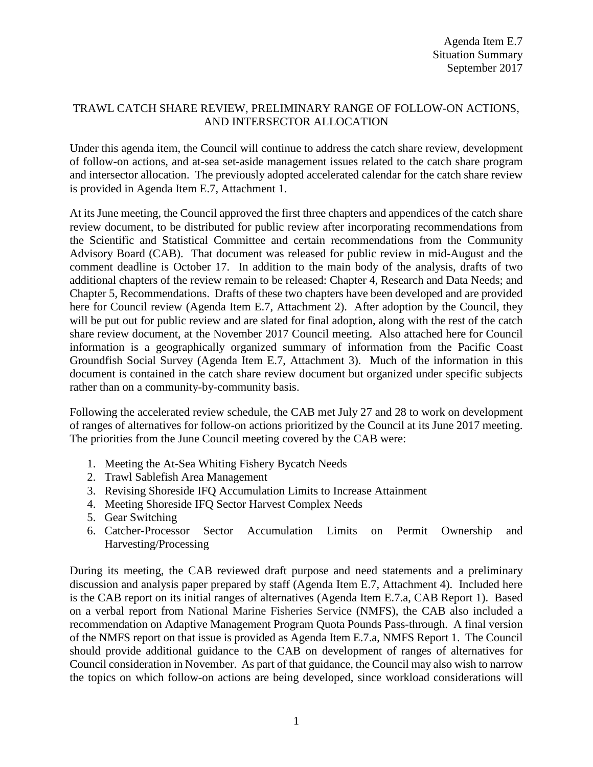## TRAWL CATCH SHARE REVIEW, PRELIMINARY RANGE OF FOLLOW-ON ACTIONS, AND INTERSECTOR ALLOCATION

Under this agenda item, the Council will continue to address the catch share review, development of follow-on actions, and at-sea set-aside management issues related to the catch share program and intersector allocation. The previously adopted accelerated calendar for the catch share review is provided in Agenda Item E.7, Attachment 1.

At its June meeting, the Council approved the first three chapters and appendices of the catch share review document, to be distributed for public review after incorporating recommendations from the Scientific and Statistical Committee and certain recommendations from the Community Advisory Board (CAB). That document was released for public review in mid-August and the comment deadline is October 17. In addition to the main body of the analysis, drafts of two additional chapters of the review remain to be released: Chapter 4, Research and Data Needs; and Chapter 5, Recommendations. Drafts of these two chapters have been developed and are provided here for Council review (Agenda Item E.7, Attachment 2). After adoption by the Council, they will be put out for public review and are slated for final adoption, along with the rest of the catch share review document, at the November 2017 Council meeting. Also attached here for Council information is a geographically organized summary of information from the Pacific Coast Groundfish Social Survey (Agenda Item E.7, Attachment 3). Much of the information in this document is contained in the catch share review document but organized under specific subjects rather than on a community-by-community basis.

Following the accelerated review schedule, the CAB met July 27 and 28 to work on development of ranges of alternatives for follow-on actions prioritized by the Council at its June 2017 meeting. The priorities from the June Council meeting covered by the CAB were:

- 1. Meeting the At-Sea Whiting Fishery Bycatch Needs
- 2. Trawl Sablefish Area Management
- 3. Revising Shoreside IFQ Accumulation Limits to Increase Attainment
- 4. Meeting Shoreside IFQ Sector Harvest Complex Needs
- 5. Gear Switching
- 6. Catcher-Processor Sector Accumulation Limits on Permit Ownership and Harvesting/Processing

During its meeting, the CAB reviewed draft purpose and need statements and a preliminary discussion and analysis paper prepared by staff (Agenda Item E.7, Attachment 4). Included here is the CAB report on its initial ranges of alternatives (Agenda Item E.7.a, CAB Report 1). Based on a verbal report from National Marine Fisheries Service (NMFS), the CAB also included a recommendation on Adaptive Management Program Quota Pounds Pass-through. A final version of the NMFS report on that issue is provided as Agenda Item E.7.a, NMFS Report 1. The Council should provide additional guidance to the CAB on development of ranges of alternatives for Council consideration in November. As part of that guidance, the Council may also wish to narrow the topics on which follow-on actions are being developed, since workload considerations will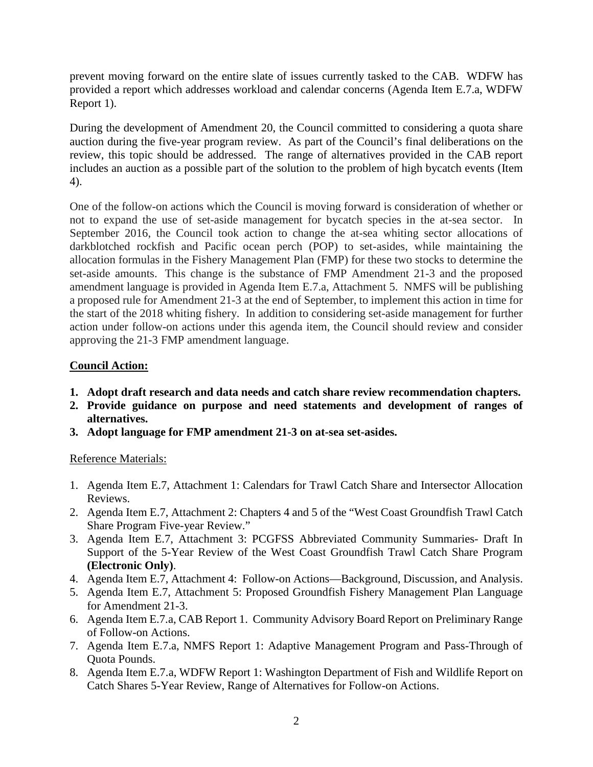prevent moving forward on the entire slate of issues currently tasked to the CAB. WDFW has provided a report which addresses workload and calendar concerns (Agenda Item E.7.a, WDFW Report 1).

During the development of Amendment 20, the Council committed to considering a quota share auction during the five-year program review. As part of the Council's final deliberations on the review, this topic should be addressed. The range of alternatives provided in the CAB report includes an auction as a possible part of the solution to the problem of high bycatch events (Item 4).

One of the follow-on actions which the Council is moving forward is consideration of whether or not to expand the use of set-aside management for bycatch species in the at-sea sector. In September 2016, the Council took action to change the at-sea whiting sector allocations of darkblotched rockfish and Pacific ocean perch (POP) to set-asides, while maintaining the allocation formulas in the Fishery Management Plan (FMP) for these two stocks to determine the set-aside amounts. This change is the substance of FMP Amendment 21-3 and the proposed amendment language is provided in Agenda Item E.7.a, Attachment 5. NMFS will be publishing a proposed rule for Amendment 21-3 at the end of September, to implement this action in time for the start of the 2018 whiting fishery. In addition to considering set-aside management for further action under follow-on actions under this agenda item, the Council should review and consider approving the 21-3 FMP amendment language.

## **Council Action:**

- **1. Adopt draft research and data needs and catch share review recommendation chapters.**
- **2. Provide guidance on purpose and need statements and development of ranges of alternatives.**
- **3. Adopt language for FMP amendment 21-3 on at-sea set-asides.**

## Reference Materials:

- 1. Agenda Item E.7, Attachment 1: Calendars for Trawl Catch Share and Intersector Allocation Reviews.
- 2. Agenda Item E.7, Attachment 2: Chapters 4 and 5 of the "West Coast Groundfish Trawl Catch Share Program Five-year Review."
- 3. Agenda Item E.7, Attachment 3: PCGFSS Abbreviated Community Summaries- Draft In Support of the 5-Year Review of the West Coast Groundfish Trawl Catch Share Program **(Electronic Only)**.
- 4. Agenda Item E.7, Attachment 4: Follow-on Actions—Background, Discussion, and Analysis.
- 5. Agenda Item E.7, Attachment 5: Proposed Groundfish Fishery Management Plan Language for Amendment 21-3.
- 6. Agenda Item E.7.a, CAB Report 1. Community Advisory Board Report on Preliminary Range of Follow-on Actions.
- 7. Agenda Item E.7.a, NMFS Report 1: Adaptive Management Program and Pass-Through of Quota Pounds.
- 8. Agenda Item E.7.a, WDFW Report 1: Washington Department of Fish and Wildlife Report on Catch Shares 5-Year Review, Range of Alternatives for Follow-on Actions.